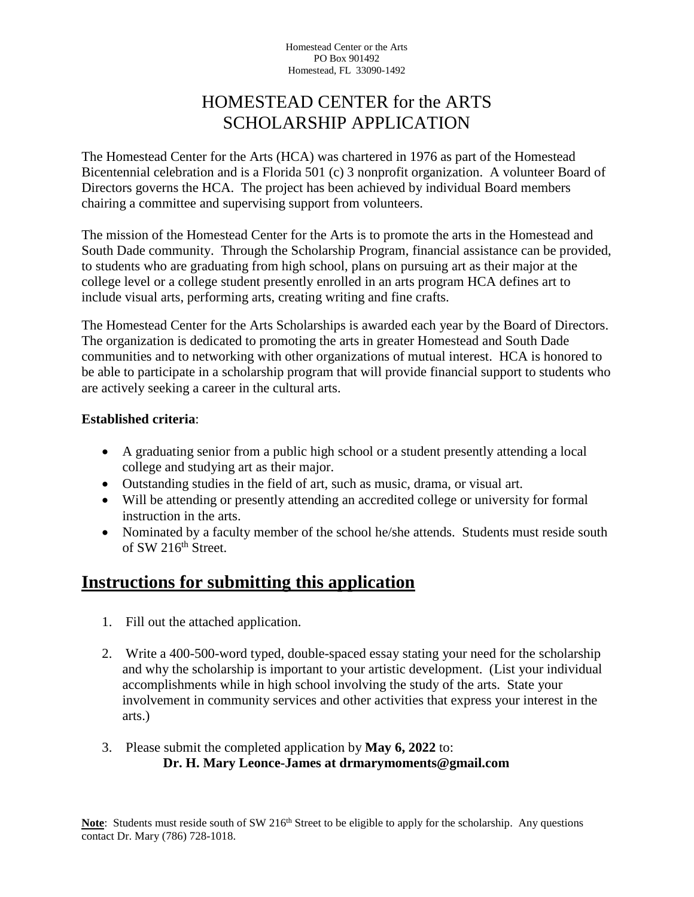Homestead Center or the Arts PO Box 901492 Homestead, FL 33090-1492

## HOMESTEAD CENTER for the ARTS SCHOLARSHIP APPLICATION

The Homestead Center for the Arts (HCA) was chartered in 1976 as part of the Homestead Bicentennial celebration and is a Florida 501 (c) 3 nonprofit organization. A volunteer Board of Directors governs the HCA. The project has been achieved by individual Board members chairing a committee and supervising support from volunteers.

The mission of the Homestead Center for the Arts is to promote the arts in the Homestead and South Dade community. Through the Scholarship Program, financial assistance can be provided, to students who are graduating from high school, plans on pursuing art as their major at the college level or a college student presently enrolled in an arts program HCA defines art to include visual arts, performing arts, creating writing and fine crafts.

The Homestead Center for the Arts Scholarships is awarded each year by the Board of Directors. The organization is dedicated to promoting the arts in greater Homestead and South Dade communities and to networking with other organizations of mutual interest. HCA is honored to be able to participate in a scholarship program that will provide financial support to students who are actively seeking a career in the cultural arts.

## **Established criteria**:

- A graduating senior from a public high school or a student presently attending a local college and studying art as their major.
- Outstanding studies in the field of art, such as music, drama, or visual art.
- Will be attending or presently attending an accredited college or university for formal instruction in the arts.
- Nominated by a faculty member of the school he/she attends. Students must reside south of SW  $216<sup>th</sup>$  Street.

## **Instructions for submitting this application**

- 1. Fill out the attached application.
- 2. Write a 400-500-word typed, double-spaced essay stating your need for the scholarship and why the scholarship is important to your artistic development. (List your individual accomplishments while in high school involving the study of the arts. State your involvement in community services and other activities that express your interest in the arts.)
- 3. Please submit the completed application by **May 6, 2022** to: **Dr. H. Mary Leonce-James at drmarymoments@gmail.com**